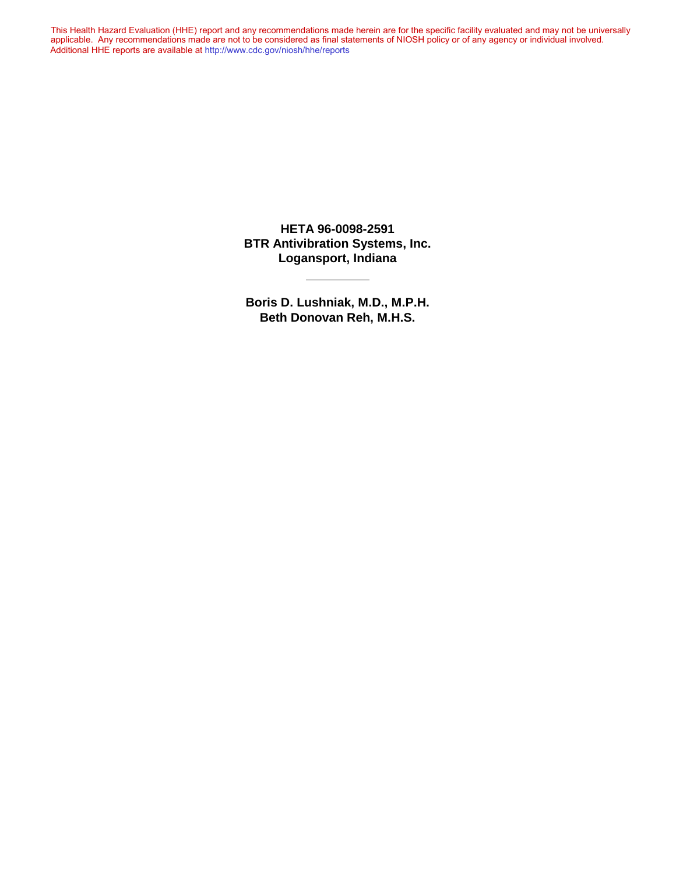This Health Hazard Evaluation (HHE) report and any recommendations made herein are for the specific facility evaluated and may not be universally applicable. Any recommendations made are not to be considered as final statements of NIOSH policy or of any agency or individual involved. Additional HHE reports are available at <http://www.cdc.gov/niosh/hhe/reports> Additional HHE reports are available at <http://www.cdc.gov/niosh/hhe/reports>This Health Hazard Evaluation (HHE) report and any recommendations made herein are for the specific facility evaluated and may not be universally applicable. Any recommendations made are not to be considered as final statements of NIOSH policy or of any agency or individual involved

> **HETA 96-0098-2591 BTR Antivibration Systems, Inc. Logansport, Indiana**

> **Boris D. Lushniak, M.D., M.P.H. Beth Donovan Reh, M.H.S.**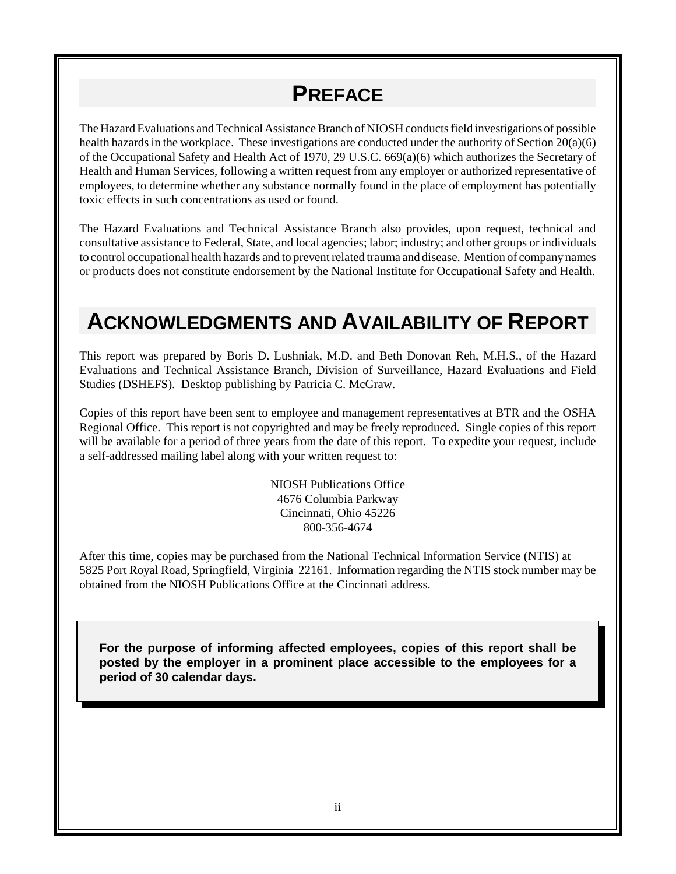## **PREFACE**

The Hazard Evaluations and Technical Assistance Branch of NIOSH conducts field investigations of possible health hazards in the workplace. These investigations are conducted under the authority of Section 20(a)(6) of the Occupational Safety and Health Act of 1970, 29 U.S.C. 669(a)(6) which authorizes the Secretary of Health and Human Services, following a written request from any employer or authorized representative of employees, to determine whether any substance normally found in the place of employment has potentially toxic effects in such concentrations as used or found.

The Hazard Evaluations and Technical Assistance Branch also provides, upon request, technical and consultative assistance to Federal, State, and local agencies; labor; industry; and other groups or individuals to control occupational health hazards and to prevent related trauma and disease. Mention of company names or products does not constitute endorsement by the National Institute for Occupational Safety and Health.

## **ACKNOWLEDGMENTS AND AVAILABILITY OF REPORT**

This report was prepared by Boris D. Lushniak, M.D. and Beth Donovan Reh, M.H.S., of the Hazard Evaluations and Technical Assistance Branch, Division of Surveillance, Hazard Evaluations and Field Studies (DSHEFS). Desktop publishing by Patricia C. McGraw.

Copies of this report have been sent to employee and management representatives at BTR and the OSHA Regional Office. This report is not copyrighted and may be freely reproduced. Single copies of this report will be available for a period of three years from the date of this report. To expedite your request, include a self-addressed mailing label along with your written request to:

> NIOSH Publications Office 4676 Columbia Parkway Cincinnati, Ohio 45226 800-356-4674

After this time, copies may be purchased from the National Technical Information Service (NTIS) at 5825 Port Royal Road, Springfield, Virginia 22161. Information regarding the NTIS stock number may be obtained from the NIOSH Publications Office at the Cincinnati address.

**For the purpose of informing affected employees, copies of this report shall be posted by the employer in a prominent place accessible to the employees for a period of 30 calendar days.**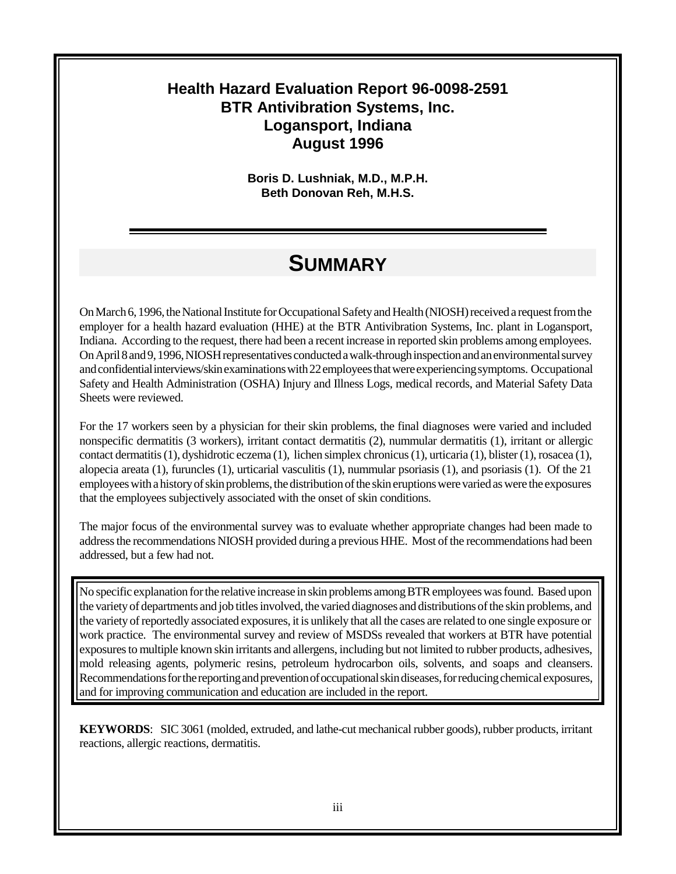#### **Health Hazard Evaluation Report 96-0098-2591 BTR Antivibration Systems, Inc. Logansport, Indiana August 1996**

**Boris D. Lushniak, M.D., M.P.H. Beth Donovan Reh, M.H.S.**

### **SUMMARY**

On March 6, 1996, the National Institute for Occupational Safety and Health (NIOSH) received a request from the employer for a health hazard evaluation (HHE) at the BTR Antivibration Systems, Inc. plant in Logansport, Indiana. According to the request, there had been a recent increase in reported skin problems among employees. On April 8 and 9, 1996, NIOSH representatives conducted a walk-through inspection and an environmental survey and confidential interviews/skin examinations with 22 employees that were experiencing symptoms. Occupational Safety and Health Administration (OSHA) Injury and Illness Logs, medical records, and Material Safety Data Sheets were reviewed.

For the 17 workers seen by a physician for their skin problems, the final diagnoses were varied and included nonspecific dermatitis (3 workers), irritant contact dermatitis (2), nummular dermatitis (1), irritant or allergic contact dermatitis (1), dyshidrotic eczema (1), lichen simplex chronicus (1), urticaria (1), blister (1), rosacea (1), alopecia areata (1), furuncles (1), urticarial vasculitis (1), nummular psoriasis (1), and psoriasis (1). Of the 21 employees with a history of skin problems, the distribution of the skin eruptions were varied as were the exposures that the employees subjectively associated with the onset of skin conditions.

The major focus of the environmental survey was to evaluate whether appropriate changes had been made to address the recommendations NIOSH provided during a previous HHE. Most of the recommendations had been addressed, but a few had not.

No specific explanation for the relative increase in skin problems among BTR employees was found. Based upon the variety of departments and job titles involved, the varied diagnoses and distributions of the skin problems, and the variety of reportedly associated exposures, it is unlikely that all the cases are related to one single exposure or work practice. The environmental survey and review of MSDSs revealed that workers at BTR have potential exposures to multiple known skin irritants and allergens, including but not limited to rubber products, adhesives, mold releasing agents, polymeric resins, petroleum hydrocarbon oils, solvents, and soaps and cleansers. Recommendations for the reporting and prevention of occupational skin diseases, for reducing chemical exposures, and for improving communication and education are included in the report.

**KEYWORDS**: SIC 3061 (molded, extruded, and lathe-cut mechanical rubber goods), rubber products, irritant reactions, allergic reactions, dermatitis.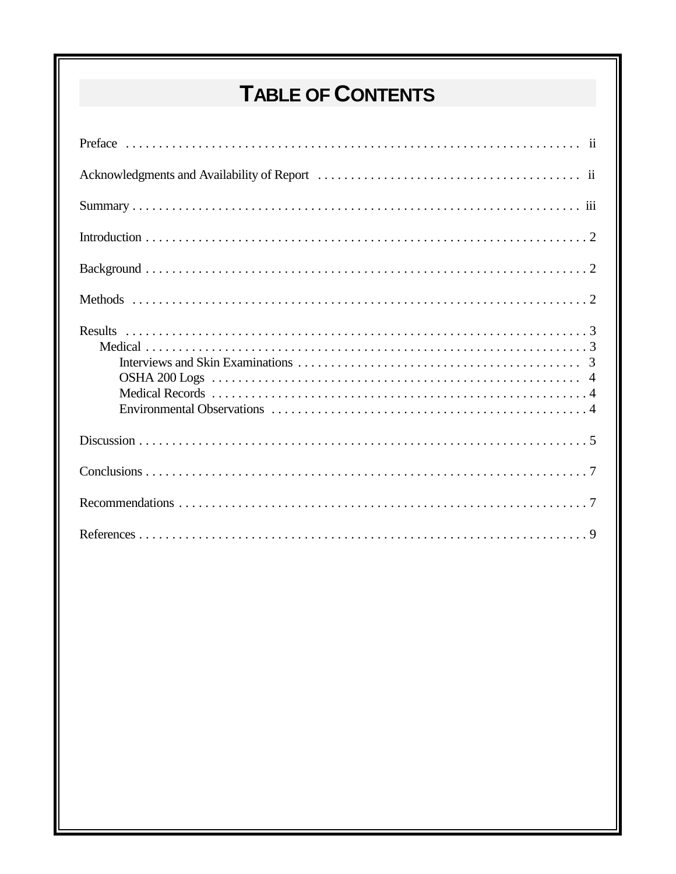# TABLE OF CONTENTS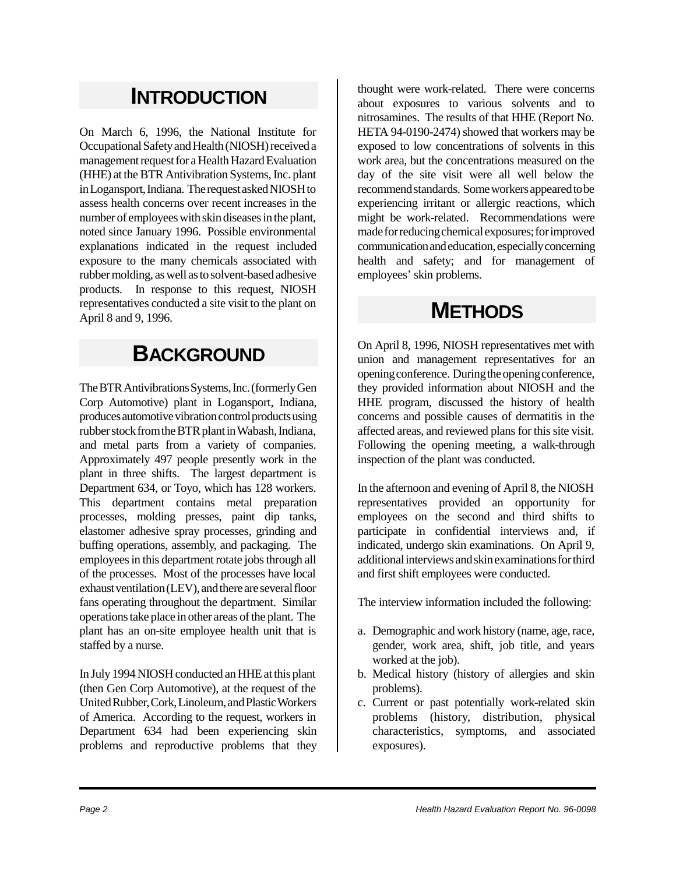## **INTRODUCTION**

On March 6, 1996, the National Institute for Occupational Safety and Health (NIOSH) received a management request for a Health Hazard Evaluation (HHE) at the BTR Antivibration Systems, Inc. plant in Logansport, Indiana. The request asked NIOSH to assess health concerns over recent increases in the number of employees with skin diseases in the plant, noted since January 1996. Possible environmental explanations indicated in the request included exposure to the many chemicals associated with rubber molding, as well as to solvent-based adhesive products. In response to this request, NIOSH representatives conducted a site visit to the plant on April 8 and 9, 1996.

### **BACKGROUND**

The BTR Antivibrations Systems, Inc. (formerly Gen Corp Automotive) plant in Logansport, Indiana, produces automotive vibration control products using rubber stock from the BTR plant in Wabash, Indiana, and metal parts from a variety of companies. Approximately 497 people presently work in the plant in three shifts. The largest department is Department 634, or Toyo, which has 128 workers. This department contains metal preparation processes, molding presses, paint dip tanks, elastomer adhesive spray processes, grinding and buffing operations, assembly, and packaging. The employees in this department rotate jobs through all of the processes. Most of the processes have local exhaust ventilation (LEV), and there are several floor fans operating throughout the department. Similar operations take place in other areas of the plant. The plant has an on-site employee health unit that is staffed by a nurse.

In July 1994 NIOSH conducted an HHE at this plant (then Gen Corp Automotive), at the request of the United Rubber, Cork, Linoleum, and Plastic Workers of America. According to the request, workers in Department 634 had been experiencing skin problems and reproductive problems that they

thought were work-related. There were concerns about exposures to various solvents and to nitrosamines. The results of that HHE (Report No. HETA 94-0190-2474) showed that workers may be exposed to low concentrations of solvents in this work area, but the concentrations measured on the day of the site visit were all well below the recommend standards. Some workers appeared to be experiencing irritant or allergic reactions, which might be work-related. Recommendations were made for reducing chemical exposures; for improved communication and education, especially concerning health and safety; and for management of employees' skin problems.

## **METHODS**

On April 8, 1996, NIOSH representatives met with union and management representatives for an opening conference. During the opening conference, they provided information about NIOSH and the HHE program, discussed the history of health concerns and possible causes of dermatitis in the affected areas, and reviewed plans for this site visit. Following the opening meeting, a walk-through inspection of the plant was conducted.

In the afternoon and evening of April 8, the NIOSH representatives provided an opportunity for employees on the second and third shifts to participate in confidential interviews and, if indicated, undergo skin examinations. On April 9, additional interviews and skin examinations for third and first shift employees were conducted.

The interview information included the following:

- a. Demographic and work history (name, age, race, gender, work area, shift, job title, and years worked at the job).
- b. Medical history (history of allergies and skin problems).
- c. Current or past potentially work-related skin problems (history, distribution, physical characteristics, symptoms, and associated exposures).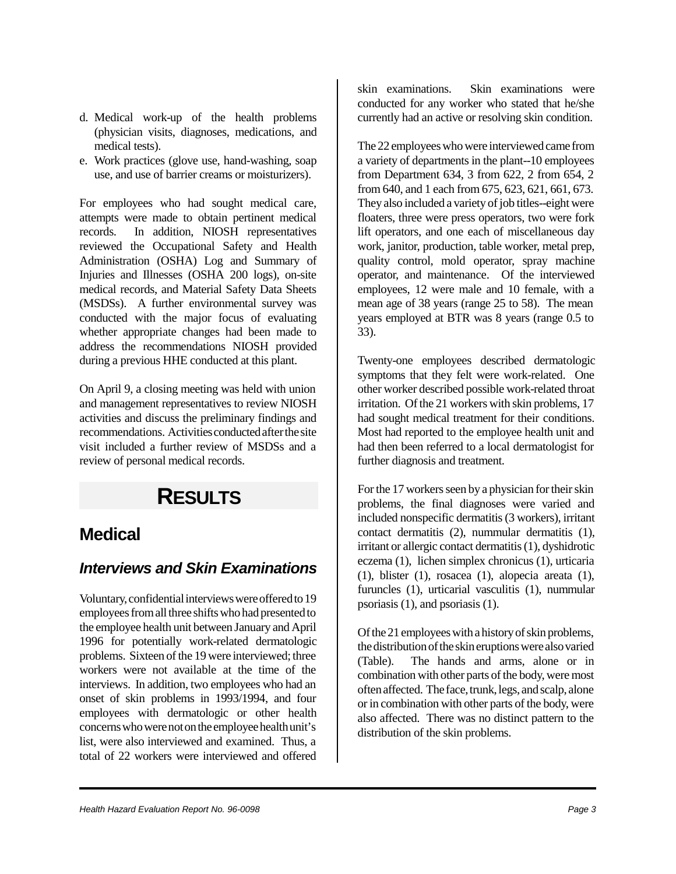- d. Medical work-up of the health problems (physician visits, diagnoses, medications, and medical tests).
- e. Work practices (glove use, hand-washing, soap use, and use of barrier creams or moisturizers).

For employees who had sought medical care, attempts were made to obtain pertinent medical records. In addition, NIOSH representatives reviewed the Occupational Safety and Health Administration (OSHA) Log and Summary of Injuries and Illnesses (OSHA 200 logs), on-site medical records, and Material Safety Data Sheets (MSDSs). A further environmental survey was conducted with the major focus of evaluating whether appropriate changes had been made to address the recommendations NIOSH provided during a previous HHE conducted at this plant.

On April 9, a closing meeting was held with union and management representatives to review NIOSH activities and discuss the preliminary findings and recommendations. Activities conducted after the site visit included a further review of MSDSs and a review of personal medical records.

## **RESULTS**

### **Medical**

#### *Interviews and Skin Examinations*

Voluntary, confidential interviews were offered to 19 employees from all three shifts who had presented to the employee health unit between January and April 1996 for potentially work-related dermatologic problems. Sixteen of the 19 were interviewed; three workers were not available at the time of the interviews. In addition, two employees who had an onset of skin problems in 1993/1994, and four employees with dermatologic or other health concerns who were not on the employee health unit's list, were also interviewed and examined. Thus, a total of 22 workers were interviewed and offered

skin examinations. Skin examinations were conducted for any worker who stated that he/she currently had an active or resolving skin condition.

The 22 employees who were interviewed came from a variety of departments in the plant--10 employees from Department 634, 3 from 622, 2 from 654, 2 from 640, and 1 each from 675, 623, 621, 661, 673. They also included a variety of job titles--eight were floaters, three were press operators, two were fork lift operators, and one each of miscellaneous day work, janitor, production, table worker, metal prep, quality control, mold operator, spray machine operator, and maintenance. Of the interviewed employees, 12 were male and 10 female, with a mean age of 38 years (range 25 to 58). The mean years employed at BTR was 8 years (range 0.5 to 33).

Twenty-one employees described dermatologic symptoms that they felt were work-related. One other worker described possible work-related throat irritation. Of the 21 workers with skin problems, 17 had sought medical treatment for their conditions. Most had reported to the employee health unit and had then been referred to a local dermatologist for further diagnosis and treatment.

For the 17 workers seen by a physician for their skin problems, the final diagnoses were varied and included nonspecific dermatitis (3 workers), irritant contact dermatitis (2), nummular dermatitis (1), irritant or allergic contact dermatitis (1), dyshidrotic eczema (1), lichen simplex chronicus (1), urticaria (1), blister (1), rosacea (1), alopecia areata (1), furuncles (1), urticarial vasculitis (1), nummular psoriasis (1), and psoriasis (1).

Of the 21 employees with a history of skin problems, the distribution of the skin eruptions were also varied (Table). The hands and arms, alone or in combination with other parts of the body, were most often affected. The face, trunk, legs, and scalp, alone or in combination with other parts of the body, were also affected. There was no distinct pattern to the distribution of the skin problems.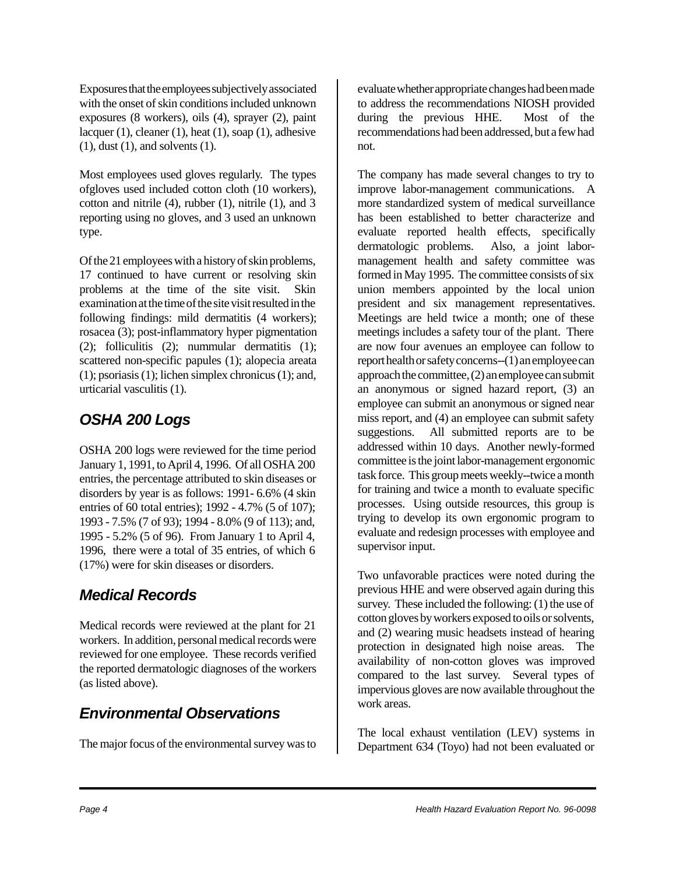Exposures that the employees subjectively associated with the onset of skin conditions included unknown exposures (8 workers), oils (4), sprayer (2), paint lacquer (1), cleaner (1), heat (1), soap (1), adhesive (1), dust (1), and solvents (1).

Most employees used gloves regularly. The types ofgloves used included cotton cloth (10 workers), cotton and nitrile (4), rubber (1), nitrile (1), and 3 reporting using no gloves, and 3 used an unknown type.

Of the 21 employees with a history of skin problems, 17 continued to have current or resolving skin problems at the time of the site visit. Skin examination at the time of the site visit resulted in the following findings: mild dermatitis  $(4 \text{ workers})$ ; rosacea (3); post-inflammatory hyper pigmentation (2); folliculitis (2); nummular dermatitis (1); scattered non-specific papules (1); alopecia areata (1); psoriasis (1); lichen simplex chronicus (1); and, urticarial vasculitis (1).

#### *OSHA 200 Logs*

OSHA 200 logs were reviewed for the time period January 1, 1991, to April 4, 1996. Of all OSHA 200 entries, the percentage attributed to skin diseases or disorders by year is as follows: 1991- 6.6% (4 skin entries of 60 total entries); 1992 - 4.7% (5 of 107); 1993 - 7.5% (7 of 93); 1994 - 8.0% (9 of 113); and, 1995 - 5.2% (5 of 96). From January 1 to April 4, 1996, there were a total of 35 entries, of which 6 (17%) were for skin diseases or disorders.

#### *Medical Records*

Medical records were reviewed at the plant for 21 workers. In addition, personal medical records were reviewed for one employee. These records verified the reported dermatologic diagnoses of the workers (as listed above).

### *Environmental Observations*

The major focus of the environmental survey was to

evaluate whether appropriate changes had been made to address the recommendations NIOSH provided during the previous HHE. Most of the recommendations had been addressed, but a few had not.

The company has made several changes to try to improve labor-management communications. A more standardized system of medical surveillance has been established to better characterize and evaluate reported health effects, specifically dermatologic problems. Also, a joint labormanagement health and safety committee was formed in May 1995. The committee consists of six union members appointed by the local union president and six management representatives. Meetings are held twice a month; one of these meetings includes a safety tour of the plant. There are now four avenues an employee can follow to report health or safety concerns--(1) an employee can approach the committee, (2) an employee can submit an anonymous or signed hazard report, (3) an employee can submit an anonymous or signed near miss report, and (4) an employee can submit safety suggestions. All submitted reports are to be addressed within 10 days. Another newly-formed committee is the joint labor-management ergonomic task force. This group meets weekly--twice a month for training and twice a month to evaluate specific processes. Using outside resources, this group is trying to develop its own ergonomic program to evaluate and redesign processes with employee and supervisor input.

Two unfavorable practices were noted during the previous HHE and were observed again during this survey. These included the following: (1) the use of cotton gloves by workers exposed to oils or solvents, and (2) wearing music headsets instead of hearing protection in designated high noise areas. The availability of non-cotton gloves was improved compared to the last survey. Several types of impervious gloves are now available throughout the work areas.

The local exhaust ventilation (LEV) systems in Department 634 (Toyo) had not been evaluated or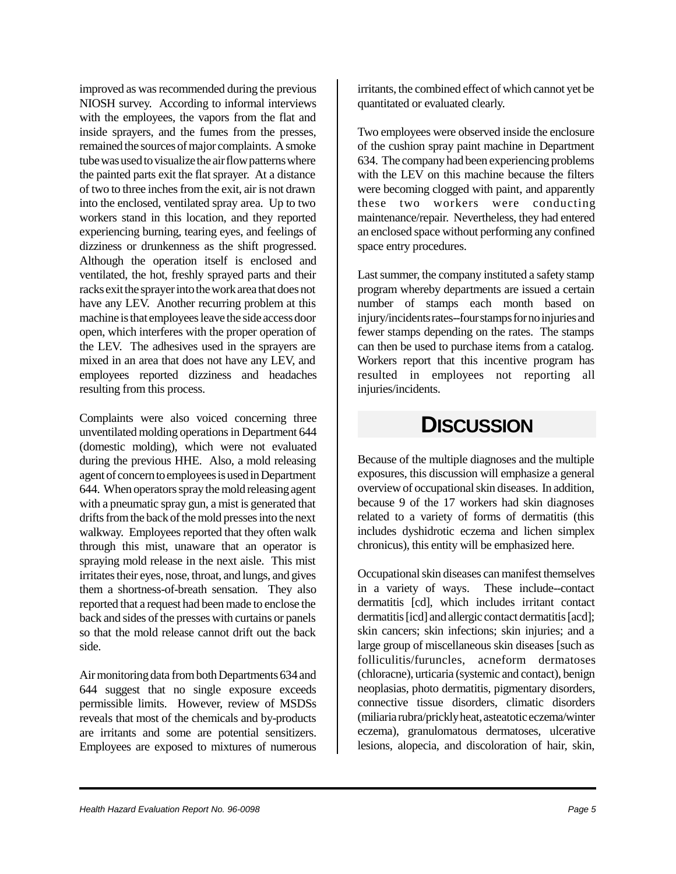improved as was recommended during the previous NIOSH survey. According to informal interviews with the employees, the vapors from the flat and inside sprayers, and the fumes from the presses, remained the sources of major complaints. A smoke tube was used to visualize the air flow patterns where the painted parts exit the flat sprayer. At a distance of two to three inches from the exit, air is not drawn into the enclosed, ventilated spray area. Up to two workers stand in this location, and they reported experiencing burning, tearing eyes, and feelings of dizziness or drunkenness as the shift progressed. Although the operation itself is enclosed and ventilated, the hot, freshly sprayed parts and their racks exit the sprayer into the work area that does not have any LEV. Another recurring problem at this machine is that employees leave the side access door open, which interferes with the proper operation of the LEV. The adhesives used in the sprayers are mixed in an area that does not have any LEV, and employees reported dizziness and headaches resulting from this process.

Complaints were also voiced concerning three unventilated molding operations in Department 644 (domestic molding), which were not evaluated during the previous HHE. Also, a mold releasing agent of concern to employees is used in Department 644. When operators spray the mold releasing agent with a pneumatic spray gun, a mist is generated that drifts from the back of the mold presses into the next walkway. Employees reported that they often walk through this mist, unaware that an operator is spraying mold release in the next aisle. This mist irritates their eyes, nose, throat, and lungs, and gives them a shortness-of-breath sensation. They also reported that a request had been made to enclose the back and sides of the presses with curtains or panels so that the mold release cannot drift out the back side.

Air monitoring data from both Departments 634 and 644 suggest that no single exposure exceeds permissible limits. However, review of MSDSs reveals that most of the chemicals and by-products are irritants and some are potential sensitizers. Employees are exposed to mixtures of numerous

irritants, the combined effect of which cannot yet be quantitated or evaluated clearly.

Two employees were observed inside the enclosure of the cushion spray paint machine in Department 634. The company had been experiencing problems with the LEV on this machine because the filters were becoming clogged with paint, and apparently these two workers were conducting maintenance/repair. Nevertheless, they had entered an enclosed space without performing any confined space entry procedures.

Last summer, the company instituted a safety stamp program whereby departments are issued a certain number of stamps each month based on injury/incidents rates--four stamps for no injuries and fewer stamps depending on the rates. The stamps can then be used to purchase items from a catalog. Workers report that this incentive program has resulted in employees not reporting all injuries/incidents.

### **DISCUSSION**

Because of the multiple diagnoses and the multiple exposures, this discussion will emphasize a general overview of occupational skin diseases. In addition, because 9 of the 17 workers had skin diagnoses related to a variety of forms of dermatitis (this includes dyshidrotic eczema and lichen simplex chronicus), this entity will be emphasized here.

Occupational skin diseases can manifest themselves in a variety of ways. These include--contact dermatitis [cd], which includes irritant contact dermatitis [icd] and allergic contact dermatitis [acd]; skin cancers; skin infections; skin injuries; and a large group of miscellaneous skin diseases [such as folliculitis/furuncles, acneform dermatoses (chloracne), urticaria (systemic and contact), benign neoplasias, photo dermatitis, pigmentary disorders, connective tissue disorders, climatic disorders (miliaria rubra/prickly heat, asteatotic eczema/winter eczema), granulomatous dermatoses, ulcerative lesions, alopecia, and discoloration of hair, skin,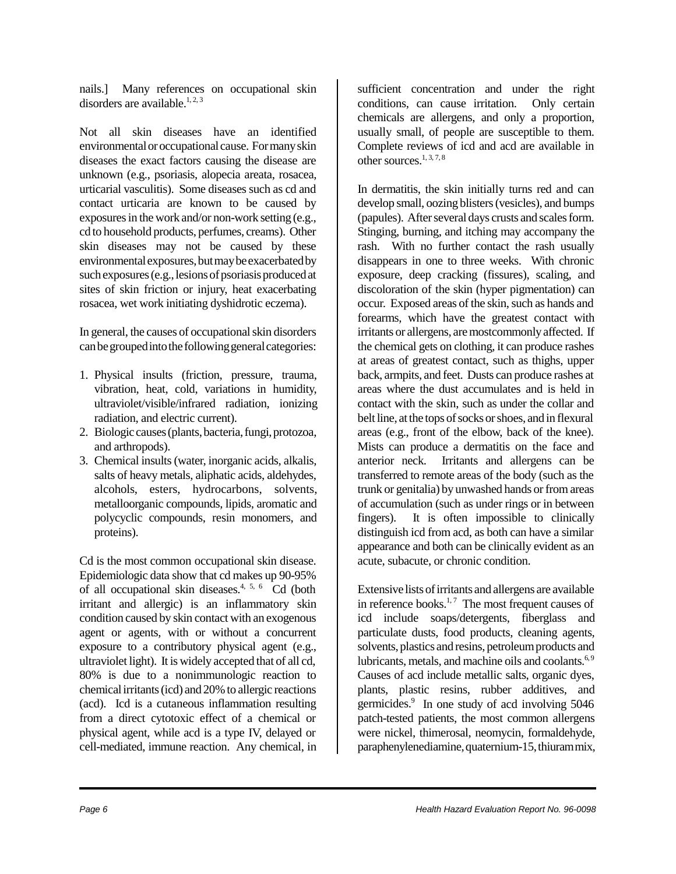nails.] Many references on occupational skin disorders are available.<sup>1, 2, 3</sup>

Not all skin diseases have an identified environmental or occupational cause. For many skin diseases the exact factors causing the disease are unknown (e.g., psoriasis, alopecia areata, rosacea, urticarial vasculitis). Some diseases such as cd and contact urticaria are known to be caused by exposures in the work and/or non-work setting (e.g., cd to household products, perfumes, creams). Other skin diseases may not be caused by these environmental exposures, but may be exacerbated by such exposures (e.g., lesions of psoriasis produced at sites of skin friction or injury, heat exacerbating rosacea, wet work initiating dyshidrotic eczema).

In general, the causes of occupational skin disorders can be grouped into the following general categories:

- 1. Physical insults (friction, pressure, trauma, vibration, heat, cold, variations in humidity, ultraviolet/visible/infrared radiation, ionizing radiation, and electric current).
- 2. Biologic causes (plants, bacteria, fungi, protozoa, and arthropods).
- 3. Chemical insults (water, inorganic acids, alkalis, salts of heavy metals, aliphatic acids, aldehydes, alcohols, esters, hydrocarbons, solvents, metalloorganic compounds, lipids, aromatic and polycyclic compounds, resin monomers, and proteins).

Cd is the most common occupational skin disease. Epidemiologic data show that cd makes up 90-95% of all occupational skin diseases.4, 5, 6 Cd (both irritant and allergic) is an inflammatory skin condition caused by skin contact with an exogenous agent or agents, with or without a concurrent exposure to a contributory physical agent (e.g., ultraviolet light). It is widely accepted that of all cd, 80% is due to a nonimmunologic reaction to chemical irritants (icd) and 20% to allergic reactions (acd). Icd is a cutaneous inflammation resulting from a direct cytotoxic effect of a chemical or physical agent, while acd is a type IV, delayed or cell-mediated, immune reaction. Any chemical, in

sufficient concentration and under the right conditions, can cause irritation. Only certain chemicals are allergens, and only a proportion, usually small, of people are susceptible to them. Complete reviews of icd and acd are available in other sources. $1, 3, 7, 8$ 

In dermatitis, the skin initially turns red and can develop small, oozing blisters (vesicles), and bumps (papules). After several days crusts and scales form. Stinging, burning, and itching may accompany the rash. With no further contact the rash usually disappears in one to three weeks. With chronic exposure, deep cracking (fissures), scaling, and discoloration of the skin (hyper pigmentation) can occur. Exposed areas of the skin, such as hands and forearms, which have the greatest contact with irritants or allergens, are mostcommonly affected. If the chemical gets on clothing, it can produce rashes at areas of greatest contact, such as thighs, upper back, armpits, and feet. Dusts can produce rashes at areas where the dust accumulates and is held in contact with the skin, such as under the collar and belt line, at the tops of socks or shoes, and in flexural areas (e.g., front of the elbow, back of the knee). Mists can produce a dermatitis on the face and anterior neck. Irritants and allergens can be transferred to remote areas of the body (such as the trunk or genitalia) by unwashed hands or from areas of accumulation (such as under rings or in between fingers). It is often impossible to clinically distinguish icd from acd, as both can have a similar appearance and both can be clinically evident as an acute, subacute, or chronic condition.

Extensive lists of irritants and allergens are available in reference books. $1, 7$  The most frequent causes of icd include soaps/detergents, fiberglass and particulate dusts, food products, cleaning agents, solvents, plastics and resins, petroleum products and lubricants, metals, and machine oils and coolants.<sup>6,9</sup> Causes of acd include metallic salts, organic dyes, plants, plastic resins, rubber additives, and germicides.<sup>9</sup> In one study of acd involving 5046 patch-tested patients, the most common allergens were nickel, thimerosal, neomycin, formaldehyde, paraphenylenediamine, quaternium-15, thiuram mix,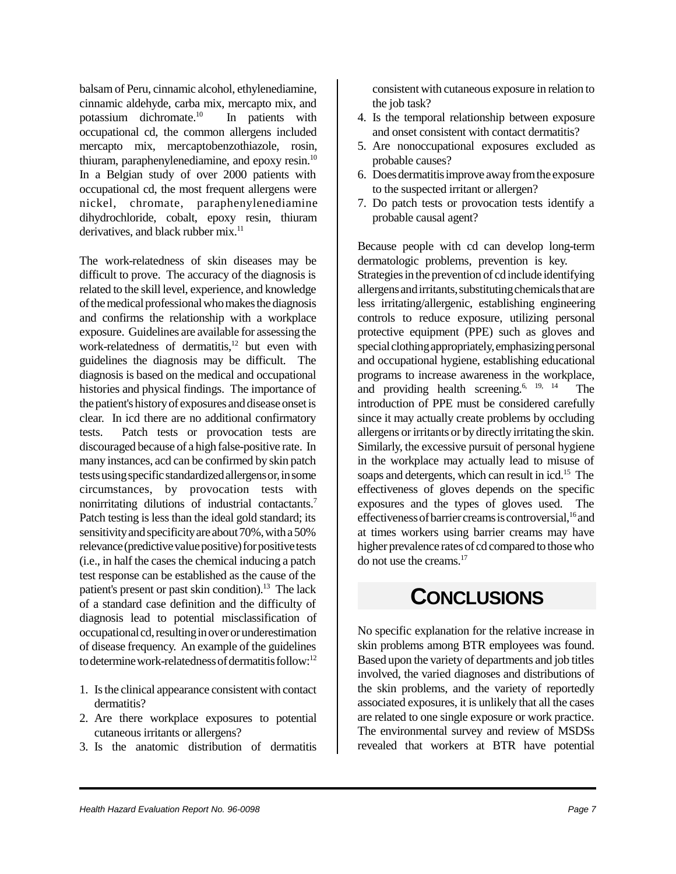balsam of Peru, cinnamic alcohol, ethylenediamine, cinnamic aldehyde, carba mix, mercapto mix, and potassium dichromate.10 In patients with occupational cd, the common allergens included mercapto mix, mercaptobenzothiazole, rosin, thiuram, paraphenylenediamine, and epoxy resin.10 In a Belgian study of over 2000 patients with occupational cd, the most frequent allergens were nickel, chromate, paraphenylenediamine dihydrochloride, cobalt, epoxy resin, thiuram derivatives, and black rubber mix.<sup>11</sup>

The work-relatedness of skin diseases may be difficult to prove. The accuracy of the diagnosis is related to the skill level, experience, and knowledge of the medical professional who makes the diagnosis and confirms the relationship with a workplace exposure. Guidelines are available for assessing the work-relatedness of dermatitis, $12$  but even with guidelines the diagnosis may be difficult. The diagnosis is based on the medical and occupational histories and physical findings. The importance of the patient's history of exposures and disease onset is clear. In icd there are no additional confirmatory tests. Patch tests or provocation tests are discouraged because of a high false-positive rate. In many instances, acd can be confirmed by skin patch tests using specific standardized allergens or, in some circumstances, by provocation tests with nonirritating dilutions of industrial contactants.<sup>7</sup> Patch testing is less than the ideal gold standard; its sensitivity and specificity are about 70%, with a 50% relevance (predictive value positive) for positive tests (i.e., in half the cases the chemical inducing a patch test response can be established as the cause of the patient's present or past skin condition).<sup>13</sup> The lack of a standard case definition and the difficulty of diagnosis lead to potential misclassification of occupational cd, resulting in over or underestimation of disease frequency. An example of the guidelines to determine work-relatedness of dermatitis follow:<sup>12</sup>

- 1. Is the clinical appearance consistent with contact dermatitis?
- 2. Are there workplace exposures to potential cutaneous irritants or allergens?
- 3. Is the anatomic distribution of dermatitis

consistent with cutaneous exposure in relation to the job task?

- 4. Is the temporal relationship between exposure and onset consistent with contact dermatitis?
- 5. Are nonoccupational exposures excluded as probable causes?
- 6. Does dermatitis improve away from the exposure to the suspected irritant or allergen?
- 7. Do patch tests or provocation tests identify a probable causal agent?

Because people with cd can develop long-term dermatologic problems, prevention is key.

Strategies in the prevention of cd include identifying allergens and irritants, substituting chemicals that are less irritating/allergenic, establishing engineering controls to reduce exposure, utilizing personal protective equipment (PPE) such as gloves and special clothing appropriately, emphasizing personal and occupational hygiene, establishing educational programs to increase awareness in the workplace, and providing health screening.<sup>6, 19, 14</sup> The introduction of PPE must be considered carefully since it may actually create problems by occluding allergens or irritants or by directly irritating the skin. Similarly, the excessive pursuit of personal hygiene in the workplace may actually lead to misuse of soaps and detergents, which can result in icd.<sup>15</sup> The effectiveness of gloves depends on the specific exposures and the types of gloves used. The effectiveness of barrier creams is controversial,  $^{16}$  and at times workers using barrier creams may have higher prevalence rates of cd compared to those who do not use the creams.17

### **CONCLUSIONS**

No specific explanation for the relative increase in skin problems among BTR employees was found. Based upon the variety of departments and job titles involved, the varied diagnoses and distributions of the skin problems, and the variety of reportedly associated exposures, it is unlikely that all the cases are related to one single exposure or work practice. The environmental survey and review of MSDSs revealed that workers at BTR have potential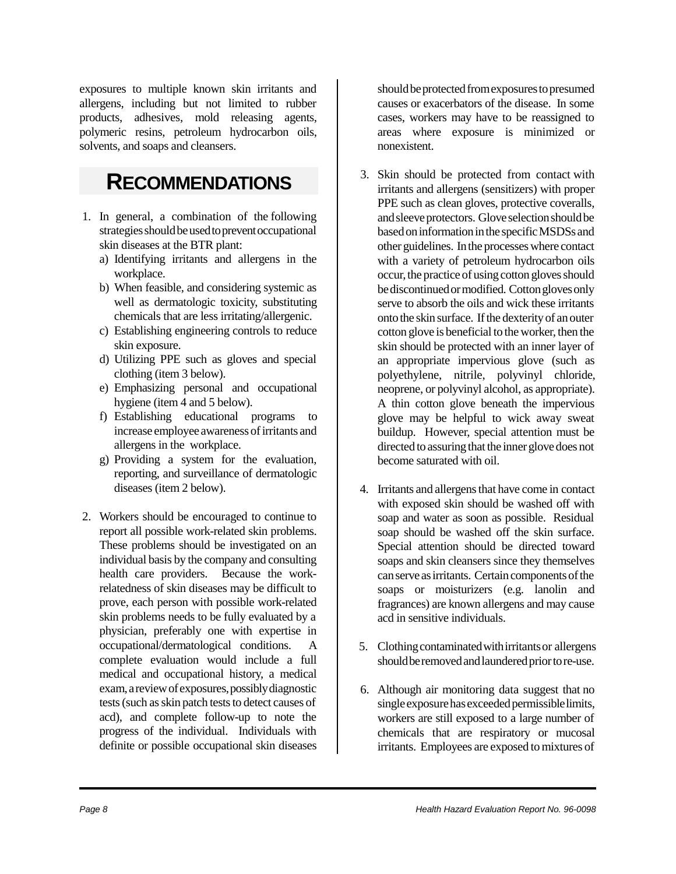exposures to multiple known skin irritants and allergens, including but not limited to rubber products, adhesives, mold releasing agents, polymeric resins, petroleum hydrocarbon oils, solvents, and soaps and cleansers.

### **RECOMMENDATIONS**

- 1. In general, a combination of the following strategies should be used to prevent occupational skin diseases at the BTR plant:
	- a) Identifying irritants and allergens in the workplace.
	- b) When feasible, and considering systemic as well as dermatologic toxicity, substituting chemicals that are less irritating/allergenic.
	- c) Establishing engineering controls to reduce skin exposure.
	- d) Utilizing PPE such as gloves and special clothing (item 3 below).
	- e) Emphasizing personal and occupational hygiene (item 4 and 5 below).
	- f) Establishing educational programs to increase employee awareness of irritants and allergens in the workplace.
	- g) Providing a system for the evaluation, reporting, and surveillance of dermatologic diseases (item 2 below).
- 2. Workers should be encouraged to continue to report all possible work-related skin problems. These problems should be investigated on an individual basis by the company and consulting health care providers. Because the workrelatedness of skin diseases may be difficult to prove, each person with possible work-related skin problems needs to be fully evaluated by a physician, preferably one with expertise in occupational/dermatological conditions. A complete evaluation would include a full medical and occupational history, a medical exam, a review of exposures, possibly diagnostic tests (such as skin patch tests to detect causes of acd), and complete follow-up to note the progress of the individual. Individuals with definite or possible occupational skin diseases

should be protected from exposures to presumed causes or exacerbators of the disease. In some cases, workers may have to be reassigned to areas where exposure is minimized or nonexistent.

- 3. Skin should be protected from contact with irritants and allergens (sensitizers) with proper PPE such as clean gloves, protective coveralls, and sleeve protectors. Glove selection should be based on information in the specific MSDSs and other guidelines. In the processes where contact with a variety of petroleum hydrocarbon oils occur, the practice of using cotton gloves should be discontinued or modified. Cotton gloves only serve to absorb the oils and wick these irritants onto the skin surface. If the dexterity of an outer cotton glove is beneficial to the worker, then the skin should be protected with an inner layer of an appropriate impervious glove (such as polyethylene, nitrile, polyvinyl chloride, neoprene, or polyvinyl alcohol, as appropriate). A thin cotton glove beneath the impervious glove may be helpful to wick away sweat buildup. However, special attention must be directed to assuring that the inner glove does not become saturated with oil.
- 4. Irritants and allergens that have come in contact with exposed skin should be washed off with soap and water as soon as possible. Residual soap should be washed off the skin surface. Special attention should be directed toward soaps and skin cleansers since they themselves can serve as irritants. Certain components of the soaps or moisturizers (e.g. lanolin and fragrances) are known allergens and may cause acd in sensitive individuals.
- 5. Clothing contaminated with irritants or allergens should be removed and laundered prior to re-use.
- 6. Although air monitoring data suggest that no single exposure has exceeded permissible limits, workers are still exposed to a large number of chemicals that are respiratory or mucosal irritants. Employees are exposed to mixtures of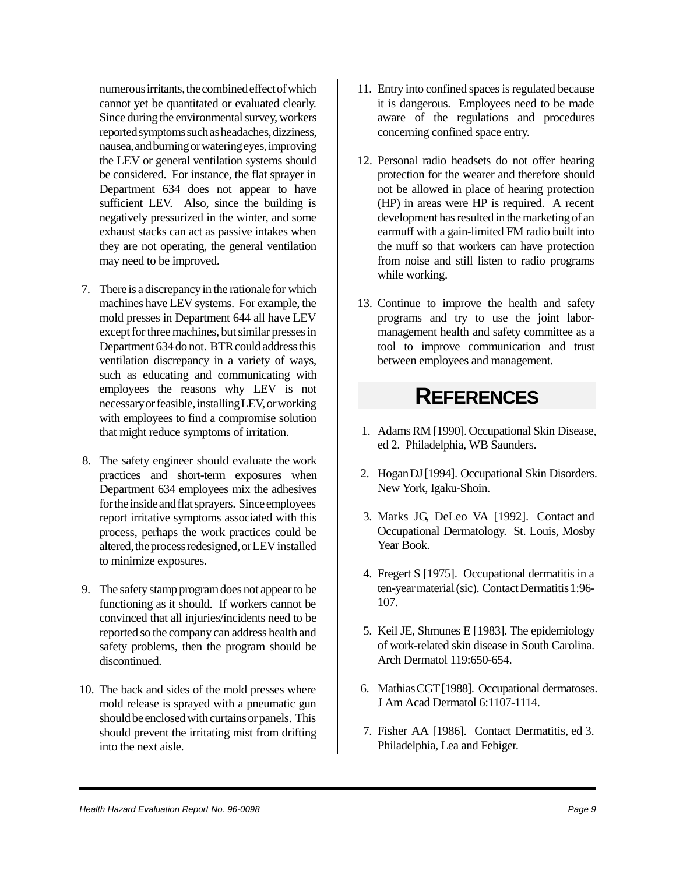numerous irritants, the combined effect of which cannot yet be quantitated or evaluated clearly. Since during the environmental survey, workers reported symptoms such as headaches, dizziness, nausea, and burning or watering eyes, improving the LEV or general ventilation systems should be considered. For instance, the flat sprayer in Department 634 does not appear to have sufficient LEV. Also, since the building is negatively pressurized in the winter, and some exhaust stacks can act as passive intakes when they are not operating, the general ventilation may need to be improved.

- 7. There is a discrepancy in the rationale for which machines have LEV systems. For example, the mold presses in Department 644 all have LEV except for three machines, but similar presses in Department 634 do not. BTR could address this ventilation discrepancy in a variety of ways, such as educating and communicating with employees the reasons why LEV is not necessary or feasible, installing LEV, or working with employees to find a compromise solution that might reduce symptoms of irritation.
- 8. The safety engineer should evaluate the work practices and short-term exposures when Department 634 employees mix the adhesives for the inside and flat sprayers. Since employees report irritative symptoms associated with this process, perhaps the work practices could be altered, the process redesigned, or LEV installed to minimize exposures.
- 9. The safety stamp program does not appear to be functioning as it should. If workers cannot be convinced that all injuries/incidents need to be reported so the company can address health and safety problems, then the program should be discontinued.
- 10. The back and sides of the mold presses where mold release is sprayed with a pneumatic gun should be enclosed with curtains or panels. This should prevent the irritating mist from drifting into the next aisle.
- 11. Entry into confined spaces is regulated because it is dangerous. Employees need to be made aware of the regulations and procedures concerning confined space entry.
- 12. Personal radio headsets do not offer hearing protection for the wearer and therefore should not be allowed in place of hearing protection (HP) in areas were HP is required. A recent development has resulted in the marketing of an earmuff with a gain-limited FM radio built into the muff so that workers can have protection from noise and still listen to radio programs while working.
- 13. Continue to improve the health and safety programs and try to use the joint labormanagement health and safety committee as a tool to improve communication and trust between employees and management.

## **REFERENCES**

- 1. Adams RM [1990]. Occupational Skin Disease, ed 2. Philadelphia, WB Saunders.
- 2. Hogan DJ [1994]. Occupational Skin Disorders. New York, Igaku-Shoin.
- 3. Marks JG, DeLeo VA [1992]. Contact and Occupational Dermatology. St. Louis, Mosby Year Book.
- 4. Fregert S [1975]. Occupational dermatitis in a ten-year material (sic). Contact Dermatitis 1:96- 107.
- 5. Keil JE, Shmunes E [1983]. The epidemiology of work-related skin disease in South Carolina. Arch Dermatol 119:650-654.
- 6. Mathias CGT [1988]. Occupational dermatoses. J Am Acad Dermatol 6:1107-1114.
- 7. Fisher AA [1986]. Contact Dermatitis, ed 3. Philadelphia, Lea and Febiger.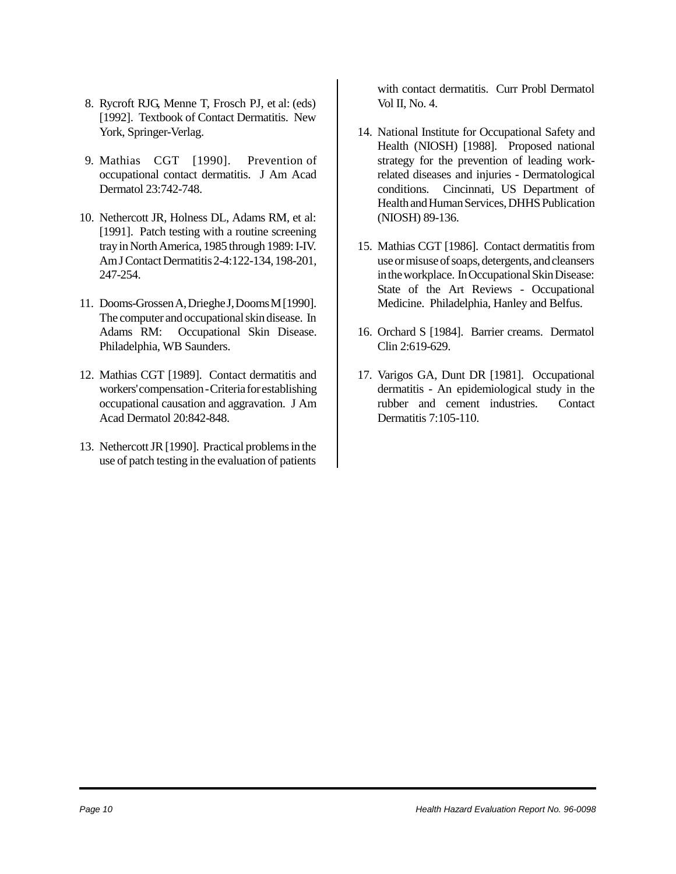- 8. Rycroft RJG, Menne T, Frosch PJ, et al: (eds) [1992]. Textbook of Contact Dermatitis. New York, Springer-Verlag.
- 9. Mathias CGT [1990]. Prevention of occupational contact dermatitis. J Am Acad Dermatol 23:742-748.
- 10. Nethercott JR, Holness DL, Adams RM, et al: [1991]. Patch testing with a routine screening tray in North America, 1985 through 1989: I-IV. Am J Contact Dermatitis 2-4:122-134, 198-201, 247-254.
- 11. Dooms-Grossen A, Drieghe J, Dooms M [1990]. The computer and occupational skin disease. In Adams RM: Occupational Skin Disease. Philadelphia, WB Saunders.
- 12. Mathias CGT [1989]. Contact dermatitis and workers' compensation - Criteria for establishing occupational causation and aggravation. J Am Acad Dermatol 20:842-848.
- 13. Nethercott JR [1990]. Practical problems in the use of patch testing in the evaluation of patients

with contact dermatitis. Curr Probl Dermatol Vol II, No. 4.

- 14. National Institute for Occupational Safety and Health (NIOSH) [1988]. Proposed national strategy for the prevention of leading workrelated diseases and injuries - Dermatological conditions. Cincinnati, US Department of Health and Human Services, DHHS Publication (NIOSH) 89-136.
- 15. Mathias CGT [1986]. Contact dermatitis from use or misuse of soaps, detergents, and cleansers in the workplace. In Occupational Skin Disease: State of the Art Reviews - Occupational Medicine. Philadelphia, Hanley and Belfus.
- 16. Orchard S [1984]. Barrier creams. Dermatol Clin 2:619-629.
- 17. Varigos GA, Dunt DR [1981]. Occupational dermatitis - An epidemiological study in the rubber and cement industries. Contact Dermatitis 7:105-110.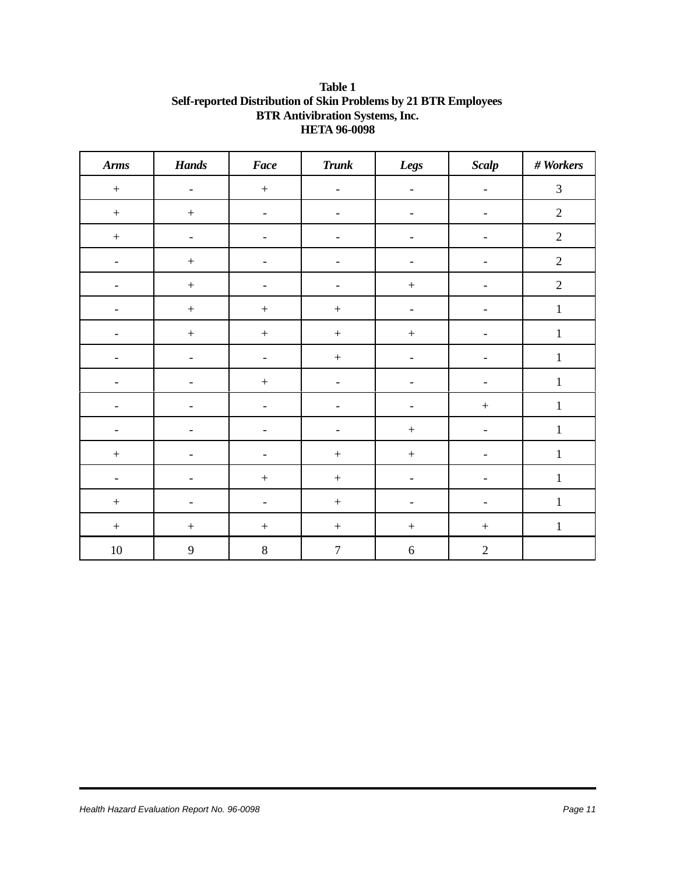#### **Table 1 Self-reported Distribution of Skin Problems by 21 BTR Employees BTR Antivibration Systems, Inc. HETA 96-0098**

| <b>Arms</b>              | <b>Hands</b>                 | <b>Face</b>              | <b>Trunk</b>             | Legs                     | Scalp                    | $#$ Workers    |
|--------------------------|------------------------------|--------------------------|--------------------------|--------------------------|--------------------------|----------------|
| $\boldsymbol{+}$         | $\overline{\phantom{a}}$     | $\boldsymbol{+}$         | $\overline{\phantom{a}}$ | $\overline{\phantom{a}}$ | $\overline{\phantom{a}}$ | $\mathfrak{Z}$ |
| $\boldsymbol{+}$         | $\boldsymbol{+}$             | $\overline{\phantom{0}}$ | $\overline{\phantom{0}}$ | $\overline{\phantom{0}}$ |                          | $\sqrt{2}$     |
| $\boldsymbol{+}$         | $\qquad \qquad \blacksquare$ | $\overline{\phantom{0}}$ | $\qquad \qquad -$        | $\overline{\phantom{a}}$ | $\overline{\phantom{a}}$ | $\sqrt{2}$     |
| $\overline{\phantom{a}}$ | $\boldsymbol{+}$             | $\overline{\phantom{a}}$ | $\overline{\phantom{a}}$ | $\overline{\phantom{a}}$ | $\overline{\phantom{a}}$ | $\overline{2}$ |
| $\overline{a}$           | $\boldsymbol{+}$             | $\overline{\phantom{0}}$ | $\overline{\phantom{a}}$ | $\boldsymbol{+}$         | ۳                        | $\overline{2}$ |
|                          | $\boldsymbol{+}$             | $\pm$                    | $\boldsymbol{+}$         | $\overline{\phantom{0}}$ |                          | $\mathbf{1}$   |
| $\overline{\phantom{a}}$ | $\boldsymbol{+}$             | $\boldsymbol{+}$         | $\boldsymbol{+}$         | $\boldsymbol{+}$         |                          | $\mathbf{1}$   |
|                          | $\overline{a}$               | $\overline{\phantom{0}}$ | $\boldsymbol{+}$         | $\overline{\phantom{a}}$ |                          | $\mathbf 1$    |
| $\overline{\phantom{0}}$ | $\overline{\phantom{0}}$     | $\boldsymbol{+}$         | $\overline{\phantom{a}}$ | $\overline{\phantom{a}}$ | $\overline{\phantom{a}}$ | $\mathbf{1}$   |
| $\overline{\phantom{a}}$ | $\overline{a}$               | $\overline{\phantom{a}}$ | $\overline{\phantom{a}}$ | $\overline{\phantom{a}}$ | $\pm$                    | $\mathbf{1}$   |
| $\overline{\phantom{0}}$ |                              |                          | $\qquad \qquad -$        | $\boldsymbol{+}$         |                          | $\mathbf{1}$   |
| $\boldsymbol{+}$         | $\overline{\phantom{a}}$     |                          | $\boldsymbol{+}$         | $\boldsymbol{+}$         | ۳                        | $\mathbf 1$    |
| $\overline{\phantom{0}}$ | ۳                            | $\pm$                    | $\boldsymbol{+}$         | $\overline{\phantom{a}}$ |                          | $\mathbf{1}$   |
| $\qquad \qquad +$        | $\overline{\phantom{0}}$     | $\qquad \qquad -$        | $\boldsymbol{+}$         | $\overline{\phantom{a}}$ | $\qquad \qquad -$        | $\mathbf{1}$   |
| $\boldsymbol{+}$         | $\boldsymbol{+}$             | $\boldsymbol{+}$         | $\boldsymbol{+}$         | $\boldsymbol{+}$         | $\boldsymbol{+}$         | $\mathbf{1}$   |
| $10\,$                   | $\mathbf{9}$                 | $\,8\,$                  | $\boldsymbol{7}$         | $\sqrt{6}$               | $\overline{2}$           |                |